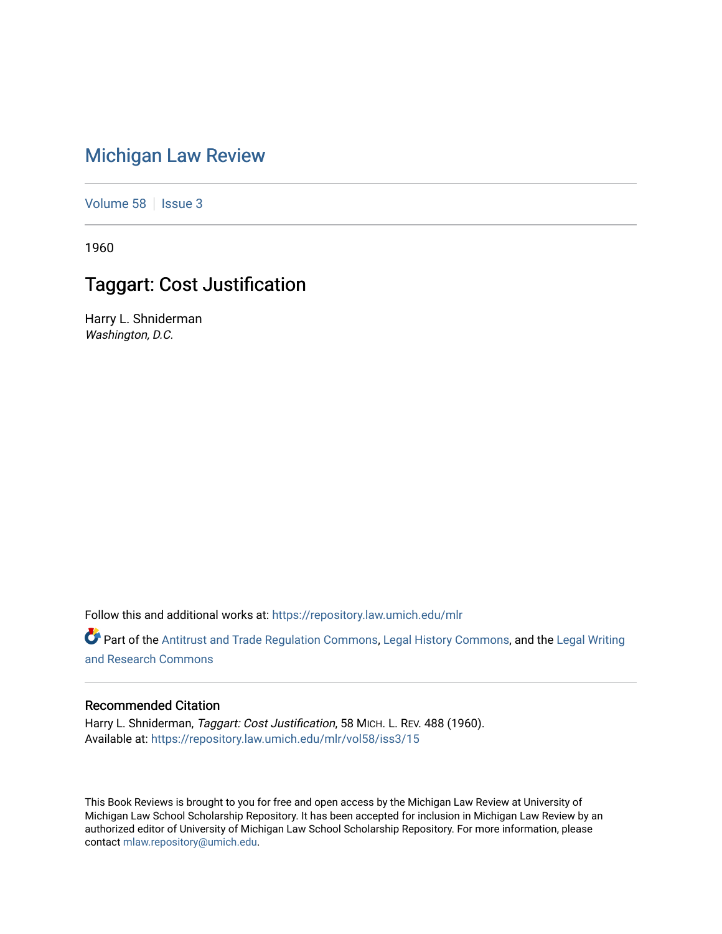## [Michigan Law Review](https://repository.law.umich.edu/mlr)

[Volume 58](https://repository.law.umich.edu/mlr/vol58) | [Issue 3](https://repository.law.umich.edu/mlr/vol58/iss3)

1960

## Taggart: Cost Justification

Harry L. Shniderman Washington, D.C.

Follow this and additional works at: [https://repository.law.umich.edu/mlr](https://repository.law.umich.edu/mlr?utm_source=repository.law.umich.edu%2Fmlr%2Fvol58%2Fiss3%2F15&utm_medium=PDF&utm_campaign=PDFCoverPages) 

Part of the [Antitrust and Trade Regulation Commons,](http://network.bepress.com/hgg/discipline/911?utm_source=repository.law.umich.edu%2Fmlr%2Fvol58%2Fiss3%2F15&utm_medium=PDF&utm_campaign=PDFCoverPages) [Legal History Commons](http://network.bepress.com/hgg/discipline/904?utm_source=repository.law.umich.edu%2Fmlr%2Fvol58%2Fiss3%2F15&utm_medium=PDF&utm_campaign=PDFCoverPages), and the [Legal Writing](http://network.bepress.com/hgg/discipline/614?utm_source=repository.law.umich.edu%2Fmlr%2Fvol58%2Fiss3%2F15&utm_medium=PDF&utm_campaign=PDFCoverPages) [and Research Commons](http://network.bepress.com/hgg/discipline/614?utm_source=repository.law.umich.edu%2Fmlr%2Fvol58%2Fiss3%2F15&utm_medium=PDF&utm_campaign=PDFCoverPages) 

## Recommended Citation

Harry L. Shniderman, Taggart: Cost Justification, 58 MICH. L. REV. 488 (1960). Available at: [https://repository.law.umich.edu/mlr/vol58/iss3/15](https://repository.law.umich.edu/mlr/vol58/iss3/15?utm_source=repository.law.umich.edu%2Fmlr%2Fvol58%2Fiss3%2F15&utm_medium=PDF&utm_campaign=PDFCoverPages) 

This Book Reviews is brought to you for free and open access by the Michigan Law Review at University of Michigan Law School Scholarship Repository. It has been accepted for inclusion in Michigan Law Review by an authorized editor of University of Michigan Law School Scholarship Repository. For more information, please contact [mlaw.repository@umich.edu](mailto:mlaw.repository@umich.edu).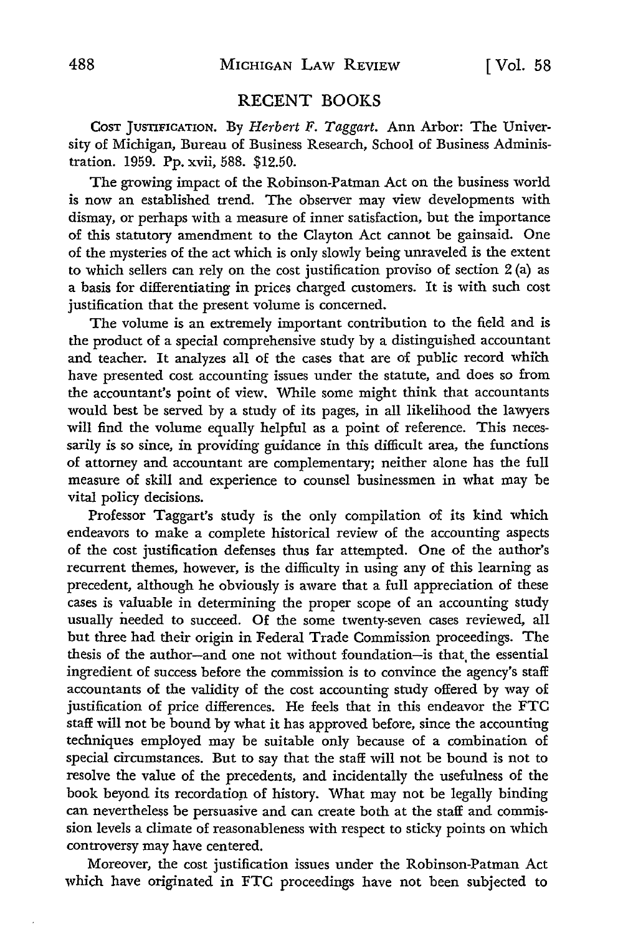## RECENT BOOKS

CosT JusnFICATION. By *Herbert F. Taggart.* Ann Arbor: The University of Michigan, Bureau of Business Research, School of Business Administration. 1959. Pp. xvii, 588. \$12.50.

The growing impact of the Robinson-Patman Act on the business world is now an established trend. The observer may view developments with dismay, or perhaps with a measure of inner satisfaction, but the importance of this statutory amendment to the Clayton Act cannot be gainsaid. One of the mysteries of the act which is only slowly being unraveled is the extent to which sellers can rely on the cost justification proviso of section 2 (a) as a basis for differentiating in prices charged customers. It is with such cost justification that the present volume is concerned.

The volume is an extremely important contribution to the field and is the product of a special comprehensive study by a distinguished accountant and teacher. It analyzes all of the cases that are of public record which have presented cost accounting issues under the statute, and does so from the accountant's point of view. While some might think that accountants would best be served by a study of its pages, in all likelihood the lawyers will find the volume equally helpful as a point of reference. This necessarily is so since, in providing guidance in this difficult area, the functions of attorney and accountant are complementary; neither alone has the full measure of skill and experience to counsel businessmen in what may be vital policy decisions.

Professor Taggart's study is the only compilation of its kind which endeavors to make a complete historical review of the accounting aspects of the cost justification defenses thus far attempted. One of the author's recurrent themes, however, is the difficulty in using any of this learning as precedent, although he obviously is aware that a full appreciation of these cases is valuable in determining the proper scope of an accounting study usually needed to succeed. Of the some twenty-seven cases reviewed, all but three had their origin in Federal Trade Commission proceedings. The thesis of the author-and one not without foundation-is that, the essential ingredient of success before the commission is to convince the agency's staff accountants of the validity of the cost accounting study offered by way of justification of price differences. He feels that in this endeavor the FTC staff will not be bound by what it has approved before, since the accounting techniques employed may be suitable only because of a combination of special circumstances. But to say that the staff will not be bound is not to resolve the value of the precedents, and incidentally the usefulness of the book beyond its recordation of history. What may not be legally binding can nevertheless be persuasive and can create both at the staff and commission levels a climate of reasonableness with respect to sticky points on which controversy may have centered.

Moreover, the cost justification issues under the Robinson-Patman Act which have originated in FTC proceedings have not been subjected to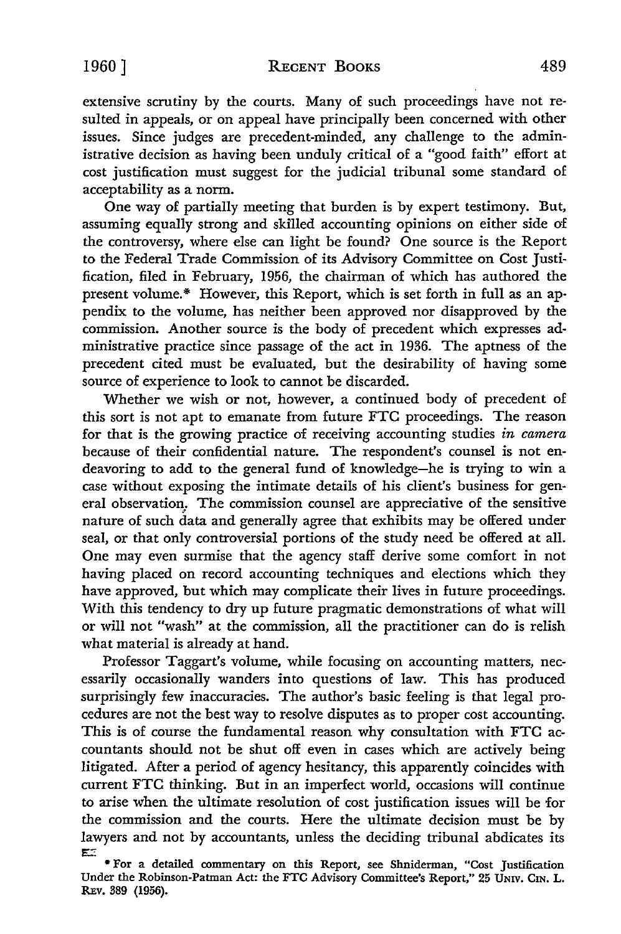extensive scrutiny by the courts. Many of such proceedings have not resulted in appeals, or on appeal have principally been concerned with other issues. Since judges are precedent-minded, any challenge to the administrative decision as having been unduly critical of a "good faith" effort at cost justification must suggest for the judicial tribunal some standard of acceptability as a norm.

One way of partially meeting that burden is by expert testimony. But, assuming equally strong and skilled accounting opinions on either side of the controversy, where else can light be found? One source is the Report to the Federal Trade Commission of its Advisory Committee on Cost Justification, filed in February, 1956, the chairman of which has authored the present volume.\* However, this Report, which is set forth in full as an appendix to the volume, has neither been approved nor disapproved by the commission. Another source is the body of precedent which expresses administrative practice since passage of the act in 1936. The aptness of the precedent cited must be evaluated, but the desirability of having some source of experience to look to cannot be discarded.

Whether we wish or not, however, a continued body of precedent of this sort is not apt to emanate from future FTC proceedings. The reason for that is the growing practice of receiving accounting studies *in camera*  because of their confidential nature. The respondent's counsel is not endeavoring to add to the general fund of knowledge-he is trying to win a case without exposing the intimate details of his client's business for general observation. The commission counsel are appreciative of the sensitive nature of such data and generally agree that exhibits may be offered under seal, or that only controversial portions of the study need be offered at all. One may even surmise that the agency staff derive some comfort in not having placed on record accounting techniques and elections which they have approved, but which may complicate their lives in future proceedings. With this tendency to dry up future pragmatic demonstrations of what will or will not "wash" at the commission, all the practitioner can do is relish what material is already at hand.

Professor Taggart's volume, while focusing on accounting matters, necessarily occasionally wanders into questions of law. This has produced surprisingly few inaccuracies. The author's basic feeling is that legal procedures are not the best way to resolve disputes as to proper cost accounting. This is of course the fundamental reason why consultation with FTC accountants should not be shut off even in cases which are actively being litigated. After a period of agency hesitancy, this apparently coincides with current FTC thinking. But in an imperfect world, occasions will continue to arise when the ultimate resolution of cost justification issues will be for the commission and the courts. Here the ultimate decision must be by lawyers and not by accountants, unless the deciding tribunal abdicates its  $\Xi$ 

<sup>•</sup> For a detailed commentary on this Report, see Shniderman, "Cost Justification Under the Robinson-Patman Act: the FTC Advisory Committee's Report," 25 UNIV. CIN. L. REv. 389 (1956).